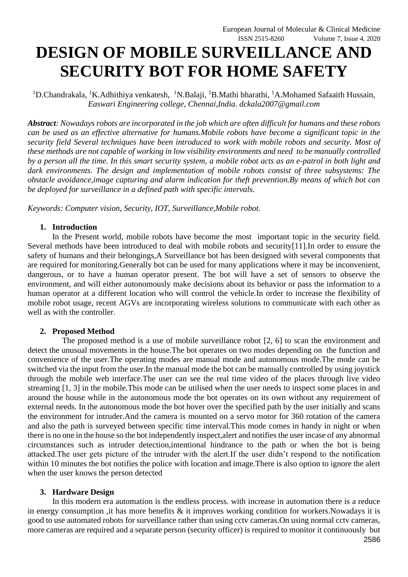<sup>1</sup>D.Chandrakala, <sup>1</sup>K.Adhithiya venkatesh, <sup>1</sup>N.Balaji, <sup>1</sup>B.Mathi bharathi, <sup>1</sup>A.Mohamed Safaaith Hussain, *Easwari Engineering college, Chennai,India. dckala2007@gmail.com*

*Abstract: Nowadays robots are incorporated in the job which are often difficult for humans and these robots can be used as an effective alternative for humans.Mobile robots have become a significant topic in the security field Several techniques have been introduced to work with mobile robots and security. Most of these methods are not capable of working in low visibility environments and need to be manually controlled by a person all the time. In this smart security system, a mobile robot acts as an e-patrol in both light and dark environments. The design and implementation of mobile robots consist of three subsystems: The obstacle avoidance,image capturing and alarm indication for theft prevention.By means of which bot can be deployed for surveillance in a defined path with specific intervals.*

*Keywords: Computer vision, Security, IOT, Surveillance,Mobile robot.*

#### **1. Introduction**

In the Present world, mobile robots have become the most important topic in the security field. Several methods have been introduced to deal with mobile robots and security[11].In order to ensure the safety of humans and their belongings,A Surveillance bot has been designed with several components that are required for monitoring.Generally bot can be used for many applications where it may be inconvenient, dangerous, or to have a human operator present. The bot will have a set of sensors to observe the environment, and will either autonomously make decisions about its behavior or pass the information to a human operator at a different location who will control the vehicle.In order to increase the flexibility of mobile robot usage, recent AGVs are incorporating wireless solutions to communicate with each other as well as with the controller.

#### **2. Proposed Method**

The proposed method is a use of mobile surveillance robot [2, 6] to scan the environment and detect the unusual movements in the house.The bot operates on two modes depending on the function and convenience of the user.The operating modes are manual mode and autonomous mode.The mode can be switched via the input from the user.In the manual mode the bot can be manually controlled by using joystick through the mobile web interface.The user can see the real time video of the places through live video streaming [1, 3] in the mobile.This mode can be utilised when the user needs to inspect some places in and around the house while in the autonomous mode the bot operates on its own without any requirement of external needs. In the autonomous mode the bot hover over the specified path by the user initially and scans the environment for intruder.And the camera is mounted on a servo motor for 360 rotation of the camera and also the path is surveyed between specific time interval.This mode comes in handy in night or when there is no one in the house so the bot independently inspect,alert and notifies the user incase of any abnormal circumstances such as intruder detection,intentional hindrance to the path or when the bot is being attacked.The user gets picture of the intruder with the alert.If the user didn't respond to the notification within 10 minutes the bot notifies the police with location and image.There is also option to ignore the alert when the user knows the person detected

#### **3. Hardware Design**

In this modern era automation is the endless process. with increase in automation there is a reduce in energy consumption ,it has more benefits & it improves working condition for workers.Nowadays it is good to use automated robots for surveillance rather than using cctv cameras.On using normal cctv cameras, more cameras are required and a separate person (security officer) is required to monitor it continuously but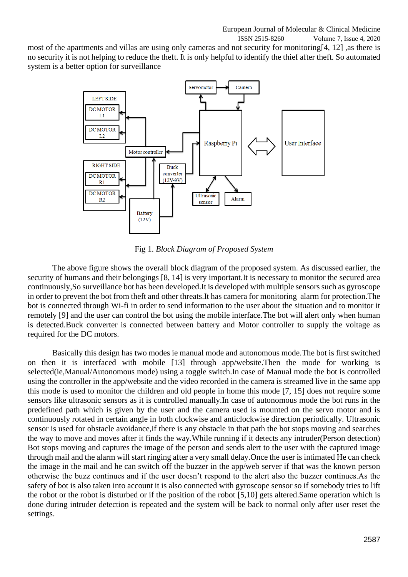ISSN 2515-8260 Volume 7, Issue 4, 2020

most of the apartments and villas are using only cameras and not security for monitoring[4, 12] ,as there is no security it is not helping to reduce the theft. It is only helpful to identify the thief after theft. So automated system is a better option for surveillance



Fig 1. *Block Diagram of Proposed System*

The above figure shows the overall block diagram of the proposed system. As discussed earlier, the security of humans and their belongings [8, 14] is very important.It is necessary to monitor the secured area continuously,So surveillance bot has been developed.It is developed with multiple sensors such as gyroscope in order to prevent the bot from theft and other threats.It has camera for monitoring alarm for protection.The bot is connected through Wi-fi in order to send information to the user about the situation and to monitor it remotely [9] and the user can control the bot using the mobile interface.The bot will alert only when human is detected.Buck converter is connected between battery and Motor controller to supply the voltage as required for the DC motors.

Basically this design has two modes ie manual mode and autonomous mode.The bot is first switched on then it is interfaced with mobile [13] through app/website.Then the mode for working is selected(ie,Manual/Autonomous mode) using a toggle switch.In case of Manual mode the bot is controlled using the controller in the app/website and the video recorded in the camera is streamed live in the same app this mode is used to monitor the children and old people in home this mode [7, 15] does not require some sensors like ultrasonic sensors as it is controlled manually.In case of autonomous mode the bot runs in the predefined path which is given by the user and the camera used is mounted on the servo motor and is continuously rotated in certain angle in both clockwise and anticlockwise direction periodically. Ultrasonic sensor is used for obstacle avoidance,if there is any obstacle in that path the bot stops moving and searches the way to move and moves after it finds the way.While running if it detects any intruder(Person detection) Bot stops moving and captures the image of the person and sends alert to the user with the captured image through mail and the alarm will start ringing after a very small delay.Once the user is intimated He can check the image in the mail and he can switch off the buzzer in the app/web server if that was the known person otherwise the buzz continues and if the user doesn't respond to the alert also the buzzer continues.As the safety of bot is also taken into account it is also connected with gyroscope sensor so if somebody tries to lift the robot or the robot is disturbed or if the position of the robot [5,10] gets altered.Same operation which is done during intruder detection is repeated and the system will be back to normal only after user reset the settings.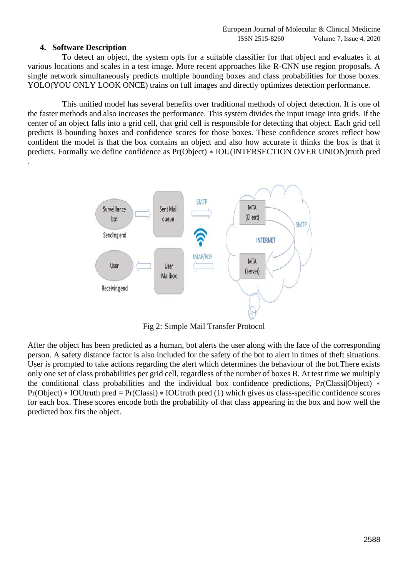# **4. Software Description**

.

To detect an object, the system opts for a suitable classifier for that object and evaluates it at various locations and scales in a test image. More recent approaches like R-CNN use region proposals. A single network simultaneously predicts multiple bounding boxes and class probabilities for those boxes. YOLO(YOU ONLY LOOK ONCE) trains on full images and directly optimizes detection performance.

This unified model has several benefits over traditional methods of object detection. It is one of the faster methods and also increases the performance. This system divides the input image into grids. If the center of an object falls into a grid cell, that grid cell is responsible for detecting that object. Each grid cell predicts B bounding boxes and confidence scores for those boxes. These confidence scores reflect how confident the model is that the box contains an object and also how accurate it thinks the box is that it predicts. Formally we define confidence as Pr(Object) ∗ IOU(INTERSECTION OVER UNION)truth pred



Fig 2: Simple Mail Transfer Protocol

After the object has been predicted as a human, bot alerts the user along with the face of the corresponding person. A safety distance factor is also included for the safety of the bot to alert in times of theft situations. User is prompted to take actions regarding the alert which determines the behaviour of the bot.There exists only one set of class probabilities per grid cell, regardless of the number of boxes B. At test time we multiply the conditional class probabilities and the individual box confidence predictions, Pr(Classi|Object) ∗ Pr(Object) ∗ IOUtruth pred = Pr(Classi) ∗ IOUtruth pred (1) which gives us class-specific confidence scores for each box. These scores encode both the probability of that class appearing in the box and how well the predicted box fits the object.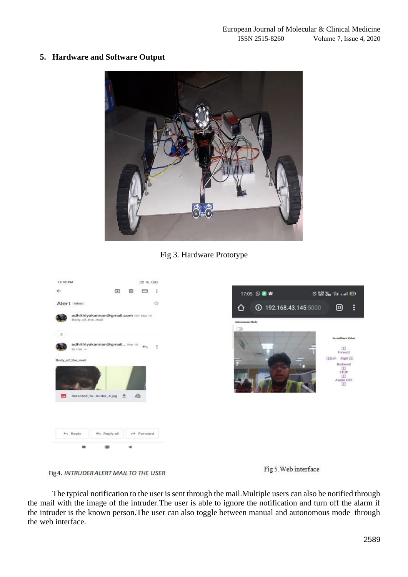# **5. Hardware and Software Output**



Fig 3. Hardware Prototype



Fig 4. INTRUDER ALERT MAIL TO THE USER

Fig 5. Web interface

The typical notification to the user is sent through the mail.Multiple users can also be notified through the mail with the image of the intruder.The user is able to ignore the notification and turn off the alarm if the intruder is the known person.The user can also toggle between manual and autonomous mode through the web interface.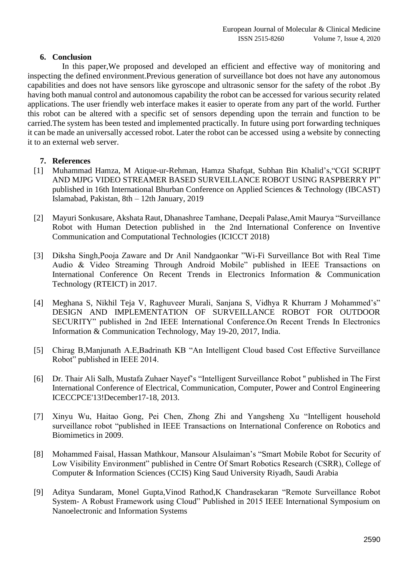### **6. Conclusion**

In this paper,We proposed and developed an efficient and effective way of monitoring and inspecting the defined environment.Previous generation of surveillance bot does not have any autonomous capabilities and does not have sensors like gyroscope and ultrasonic sensor for the safety of the robot .By having both manual control and autonomous capability the robot can be accessed for various security related applications. The user friendly web interface makes it easier to operate from any part of the world. Further this robot can be altered with a specific set of sensors depending upon the terrain and function to be carried.The system has been tested and implemented practically. In future using port forwarding techniques it can be made an universally accessed robot. Later the robot can be accessed using a website by connecting it to an external web server.

# **7. References**

- [1] Muhammad Hamza, M Atique-ur-Rehman, Hamza Shafqat, Subhan Bin Khalid's,"CGI SCRIPT AND MJPG VIDEO STREAMER BASED SURVEILLANCE ROBOT USING RASPBERRY PI" published in 16th International Bhurban Conference on Applied Sciences & Technology (IBCAST) Islamabad, Pakistan, 8th – 12th January, 2019
- [2] Mayuri Sonkusare, Akshata Raut, Dhanashree Tamhane, Deepali Palase,Amit Maurya "Surveillance Robot with Human Detection published in the 2nd International Conference on Inventive Communication and Computational Technologies (ICICCT 2018)
- [3] Diksha Singh,Pooja Zaware and Dr Anil Nandgaonkar "Wi-Fi Surveillance Bot with Real Time Audio & Video Streaming Through Android Mobile" published in IEEE Transactions on International Conference On Recent Trends in Electronics Information & Communication Technology (RTEICT) in 2017.
- [4] Meghana S, Nikhil Teja V, Raghuveer Murali, Sanjana S, Vidhya R Khurram J Mohammed's" DESIGN AND IMPLEMENTATION OF SURVEILLANCE ROBOT FOR OUTDOOR SECURITY" published in 2nd IEEE International Conference.On Recent Trends In Electronics Information & Communication Technology, May 19-20, 2017, India.
- [5] Chirag B,Manjunath A.E,Badrinath KB "An Intelligent Cloud based Cost Effective Surveillance Robot" published in IEEE 2014.
- [6] Dr. Thair Ali Salh, Mustafa Zuhaer Nayef's "Intelligent Surveillance Robot '' published in The First International Conference of Electrical, Communication, Computer, Power and Control Engineering ICECCPCE'13!December17-18, 2013.
- [7] Xinyu Wu, Haitao Gong, Pei Chen, Zhong Zhi and Yangsheng Xu "Intelligent household surveillance robot "published in IEEE Transactions on International Conference on Robotics and Biomimetics in 2009.
- [8] Mohammed Faisal, Hassan Mathkour, Mansour Alsulaiman's "Smart Mobile Robot for Security of Low Visibility Environment" published in Centre Of Smart Robotics Research (CSRR), College of Computer & Information Sciences (CCIS) King Saud University Riyadh, Saudi Arabia
- [9] Aditya Sundaram, Monel Gupta,Vinod Rathod,K Chandrasekaran "Remote Surveillance Robot System- A Robust Framework using Cloud" Published in 2015 IEEE International Symposium on Nanoelectronic and Information Systems